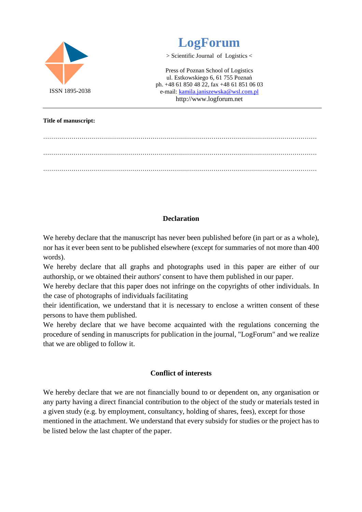

……………………………………………………………………………………………………………………… ……………………………………………………………………………………………………………………… ………………………………………………………………………………………………………………………

## **Declaration**

We hereby declare that the manuscript has never been published before (in part or as a whole), nor has it ever been sent to be published elsewhere (except for summaries of not more than 400 words).

We hereby declare that all graphs and photographs used in this paper are either of our authorship, or we obtained their authors' consent to have them published in our paper.

We hereby declare that this paper does not infringe on the copyrights of other individuals. In the case of photographs of individuals facilitating

their identification, we understand that it is necessary to enclose a written consent of these persons to have them published.

We hereby declare that we have become acquainted with the regulations concerning the procedure of sending in manuscripts for publication in the journal, "LogForum" and we realize that we are obliged to follow it.

## **Conflict of interests**

We hereby declare that we are not financially bound to or dependent on, any organisation or any party having a direct financial contribution to the object of the study or materials tested in a given study (e.g. by employment, consultancy, holding of shares, fees), except for those mentioned in the attachment. We understand that every subsidy for studies or the project has to be listed below the last chapter of the paper.